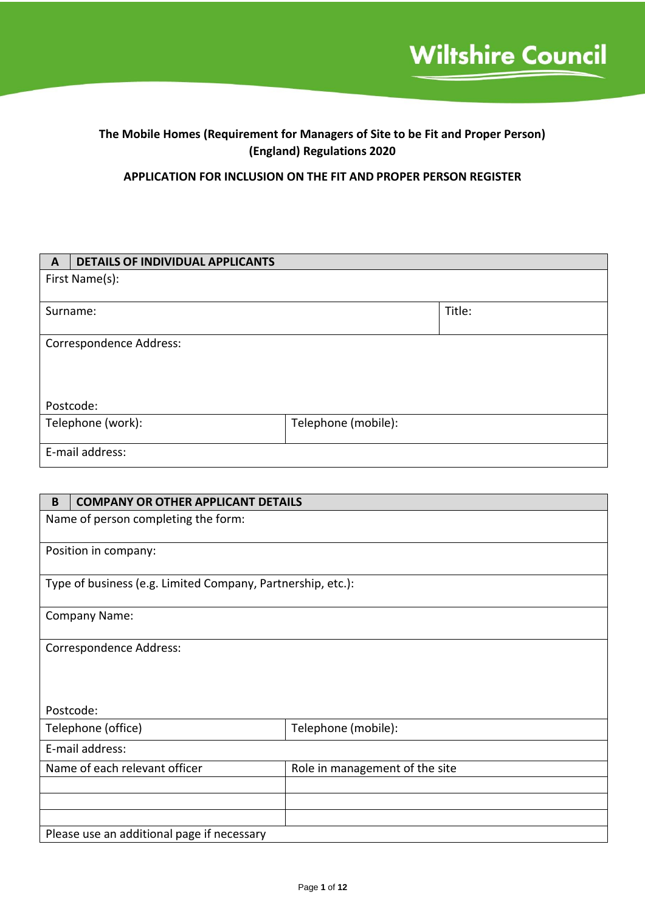# **The Mobile Homes (Requirement for Managers of Site to be Fit and Proper Person) (England) Regulations 2020**

**APPLICATION FOR INCLUSION ON THE FIT AND PROPER PERSON REGISTER**

| $\mathbf{A}$    | <b>DETAILS OF INDIVIDUAL APPLICANTS</b>  |  |        |
|-----------------|------------------------------------------|--|--------|
|                 | First Name(s):                           |  |        |
|                 |                                          |  |        |
|                 | Surname:                                 |  | Title: |
|                 |                                          |  |        |
|                 | Correspondence Address:                  |  |        |
|                 |                                          |  |        |
|                 |                                          |  |        |
|                 |                                          |  |        |
| Postcode:       |                                          |  |        |
|                 | Telephone (work):<br>Telephone (mobile): |  |        |
|                 |                                          |  |        |
| E-mail address: |                                          |  |        |
|                 |                                          |  |        |

| B                                                               | <b>COMPANY OR OTHER APPLICANT DETAILS</b>                   |  |  |
|-----------------------------------------------------------------|-------------------------------------------------------------|--|--|
|                                                                 | Name of person completing the form:                         |  |  |
|                                                                 | Position in company:                                        |  |  |
|                                                                 | Type of business (e.g. Limited Company, Partnership, etc.): |  |  |
|                                                                 | <b>Company Name:</b>                                        |  |  |
| Correspondence Address:                                         |                                                             |  |  |
|                                                                 | Postcode:                                                   |  |  |
|                                                                 | Telephone (mobile):<br>Telephone (office)                   |  |  |
| E-mail address:                                                 |                                                             |  |  |
| Name of each relevant officer<br>Role in management of the site |                                                             |  |  |
|                                                                 |                                                             |  |  |
|                                                                 |                                                             |  |  |
| Please use an additional page if necessary                      |                                                             |  |  |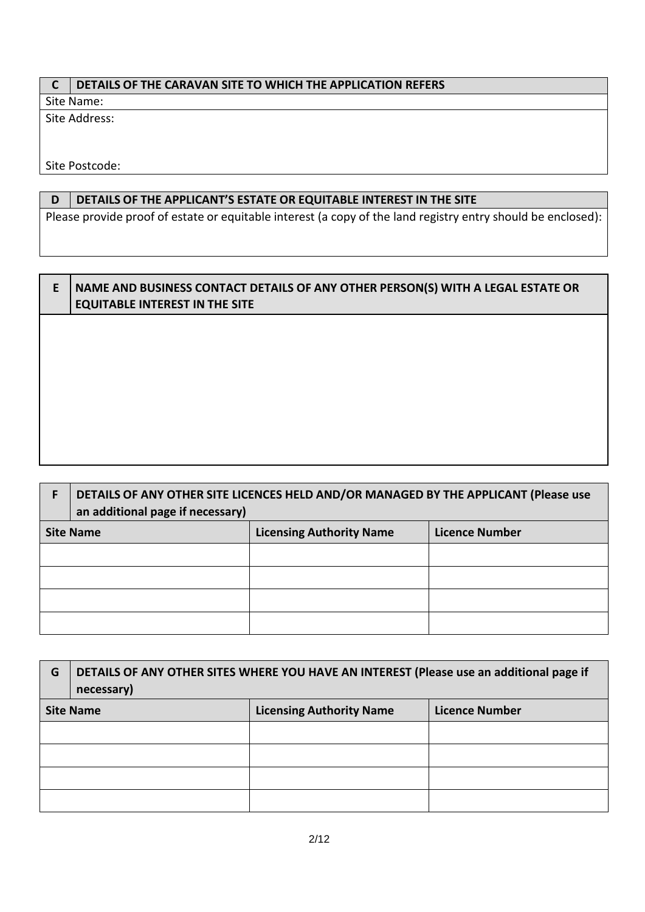# **C DETAILS OF THE CARAVAN SITE TO WHICH THE APPLICATION REFERS**

Site Name:

Site Address:

Site Postcode:

# **D DETAILS OF THE APPLICANT'S ESTATE OR EQUITABLE INTEREST IN THE SITE**

Please provide proof of estate or equitable interest (a copy of the land registry entry should be enclosed):

# **E NAME AND BUSINESS CONTACT DETAILS OF ANY OTHER PERSON(S) WITH A LEGAL ESTATE OR EQUITABLE INTEREST IN THE SITE**

| DETAILS OF ANY OTHER SITE LICENCES HELD AND/OR MANAGED BY THE APPLICANT (Please use<br>an additional page if necessary) |                                 |                       |
|-------------------------------------------------------------------------------------------------------------------------|---------------------------------|-----------------------|
| <b>Site Name</b>                                                                                                        | <b>Licensing Authority Name</b> | <b>Licence Number</b> |
|                                                                                                                         |                                 |                       |
|                                                                                                                         |                                 |                       |
|                                                                                                                         |                                 |                       |
|                                                                                                                         |                                 |                       |

| G | DETAILS OF ANY OTHER SITES WHERE YOU HAVE AN INTEREST (Please use an additional page if<br>necessary) |                                 |                       |
|---|-------------------------------------------------------------------------------------------------------|---------------------------------|-----------------------|
|   | <b>Site Name</b>                                                                                      | <b>Licensing Authority Name</b> | <b>Licence Number</b> |
|   |                                                                                                       |                                 |                       |
|   |                                                                                                       |                                 |                       |
|   |                                                                                                       |                                 |                       |
|   |                                                                                                       |                                 |                       |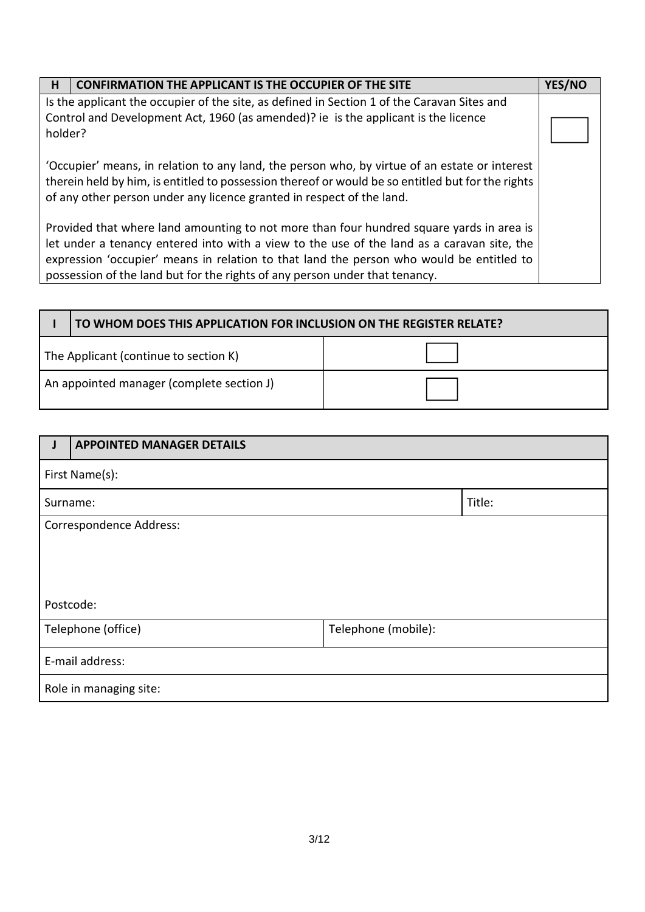| H<br><b>CONFIRMATION THE APPLICANT IS THE OCCUPIER OF THE SITE</b>                                |  | YES/NO |
|---------------------------------------------------------------------------------------------------|--|--------|
| Is the applicant the occupier of the site, as defined in Section 1 of the Caravan Sites and       |  |        |
| Control and Development Act, 1960 (as amended)? ie is the applicant is the licence                |  |        |
| holder?                                                                                           |  |        |
|                                                                                                   |  |        |
| 'Occupier' means, in relation to any land, the person who, by virtue of an estate or interest     |  |        |
| therein held by him, is entitled to possession thereof or would be so entitled but for the rights |  |        |
| of any other person under any licence granted in respect of the land.                             |  |        |
|                                                                                                   |  |        |
| Provided that where land amounting to not more than four hundred square yards in area is          |  |        |
| let under a tenancy entered into with a view to the use of the land as a caravan site, the        |  |        |
| expression 'occupier' means in relation to that land the person who would be entitled to          |  |        |
| possession of the land but for the rights of any person under that tenancy.                       |  |        |

|                                           | TO WHOM DOES THIS APPLICATION FOR INCLUSION ON THE REGISTER RELATE? |  |
|-------------------------------------------|---------------------------------------------------------------------|--|
| The Applicant (continue to section K)     |                                                                     |  |
| An appointed manager (complete section J) |                                                                     |  |

|                        | <b>APPOINTED MANAGER DETAILS</b> |                     |  |
|------------------------|----------------------------------|---------------------|--|
|                        | First Name(s):                   |                     |  |
|                        | Title:<br>Surname:               |                     |  |
|                        | Correspondence Address:          |                     |  |
|                        |                                  |                     |  |
|                        |                                  |                     |  |
|                        |                                  |                     |  |
|                        | Postcode:                        |                     |  |
|                        | Telephone (office)               | Telephone (mobile): |  |
| E-mail address:        |                                  |                     |  |
| Role in managing site: |                                  |                     |  |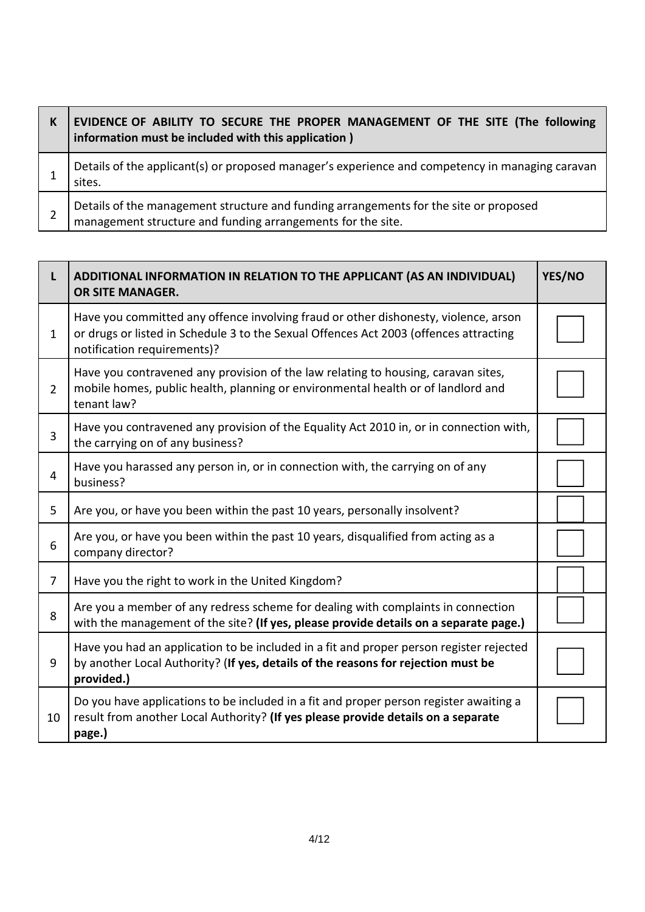| K | EVIDENCE OF ABILITY TO SECURE THE PROPER MANAGEMENT OF THE SITE (The following<br>information must be included with this application)                |
|---|------------------------------------------------------------------------------------------------------------------------------------------------------|
|   | Details of the applicant(s) or proposed manager's experience and competency in managing caravan<br>sites.                                            |
|   | Details of the management structure and funding arrangements for the site or proposed<br>management structure and funding arrangements for the site. |

| L              | ADDITIONAL INFORMATION IN RELATION TO THE APPLICANT (AS AN INDIVIDUAL)<br><b>OR SITE MANAGER.</b>                                                                                                           | YES/NO |
|----------------|-------------------------------------------------------------------------------------------------------------------------------------------------------------------------------------------------------------|--------|
| $\mathbf{1}$   | Have you committed any offence involving fraud or other dishonesty, violence, arson<br>or drugs or listed in Schedule 3 to the Sexual Offences Act 2003 (offences attracting<br>notification requirements)? |        |
| $\overline{2}$ | Have you contravened any provision of the law relating to housing, caravan sites,<br>mobile homes, public health, planning or environmental health or of landlord and<br>tenant law?                        |        |
| 3              | Have you contravened any provision of the Equality Act 2010 in, or in connection with,<br>the carrying on of any business?                                                                                  |        |
| 4              | Have you harassed any person in, or in connection with, the carrying on of any<br>business?                                                                                                                 |        |
| 5              | Are you, or have you been within the past 10 years, personally insolvent?                                                                                                                                   |        |
| 6              | Are you, or have you been within the past 10 years, disqualified from acting as a<br>company director?                                                                                                      |        |
| $\overline{7}$ | Have you the right to work in the United Kingdom?                                                                                                                                                           |        |
| 8              | Are you a member of any redress scheme for dealing with complaints in connection<br>with the management of the site? (If yes, please provide details on a separate page.)                                   |        |
| 9              | Have you had an application to be included in a fit and proper person register rejected<br>by another Local Authority? (If yes, details of the reasons for rejection must be<br>provided.)                  |        |
| 10             | Do you have applications to be included in a fit and proper person register awaiting a<br>result from another Local Authority? (If yes please provide details on a separate<br>page.)                       |        |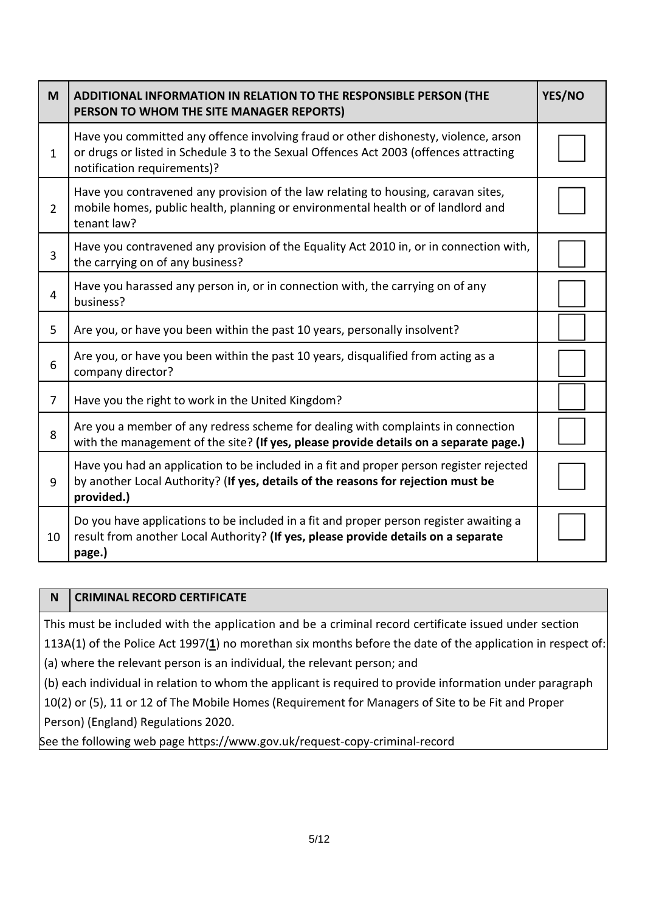| M              | ADDITIONAL INFORMATION IN RELATION TO THE RESPONSIBLE PERSON (THE<br>PERSON TO WHOM THE SITE MANAGER REPORTS)                                                                                               | YES/NO |
|----------------|-------------------------------------------------------------------------------------------------------------------------------------------------------------------------------------------------------------|--------|
| $\mathbf{1}$   | Have you committed any offence involving fraud or other dishonesty, violence, arson<br>or drugs or listed in Schedule 3 to the Sexual Offences Act 2003 (offences attracting<br>notification requirements)? |        |
| $\overline{2}$ | Have you contravened any provision of the law relating to housing, caravan sites,<br>mobile homes, public health, planning or environmental health or of landlord and<br>tenant law?                        |        |
| 3              | Have you contravened any provision of the Equality Act 2010 in, or in connection with,<br>the carrying on of any business?                                                                                  |        |
| 4              | Have you harassed any person in, or in connection with, the carrying on of any<br>business?                                                                                                                 |        |
| 5              | Are you, or have you been within the past 10 years, personally insolvent?                                                                                                                                   |        |
| 6              | Are you, or have you been within the past 10 years, disqualified from acting as a<br>company director?                                                                                                      |        |
| $\overline{7}$ | Have you the right to work in the United Kingdom?                                                                                                                                                           |        |
| 8              | Are you a member of any redress scheme for dealing with complaints in connection<br>with the management of the site? (If yes, please provide details on a separate page.)                                   |        |
| 9              | Have you had an application to be included in a fit and proper person register rejected<br>by another Local Authority? (If yes, details of the reasons for rejection must be<br>provided.)                  |        |
| 10             | Do you have applications to be included in a fit and proper person register awaiting a<br>result from another Local Authority? (If yes, please provide details on a separate<br>page.)                      |        |

# **N CRIMINAL RECORD CERTIFICATE**

This must be included with the application and be a criminal record certificate issued under section 113A(1) of the Police Act 1997(**[1](https://www.legislation.gov.uk/uksi/2020/1034/schedule/2/made#f00008)**) no morethan six months before the date of the application in respect of:

(a) where the relevant person is an individual, the relevant person; and

(b) each individual in relation to whom the applicant is required to provide information under paragraph 10(2) or (5), 11 or 12 of The Mobile Homes (Requirement for Managers of Site to be Fit and Proper

Person) (England) Regulations 2020.

See the following web page https://www.gov.uk/request-copy-criminal-record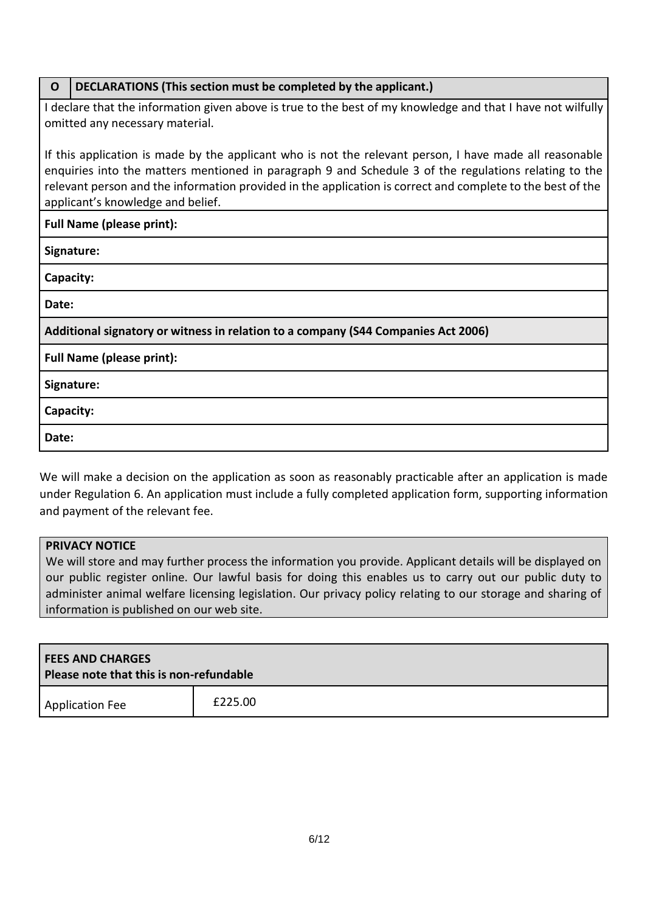| DECLARATIONS (This section must be completed by the applicant.)<br>$\mathbf 0$                                                                                                                                                                                                                                                                                      |  |  |
|---------------------------------------------------------------------------------------------------------------------------------------------------------------------------------------------------------------------------------------------------------------------------------------------------------------------------------------------------------------------|--|--|
| I declare that the information given above is true to the best of my knowledge and that I have not wilfully<br>omitted any necessary material.                                                                                                                                                                                                                      |  |  |
| If this application is made by the applicant who is not the relevant person, I have made all reasonable<br>enquiries into the matters mentioned in paragraph 9 and Schedule 3 of the regulations relating to the<br>relevant person and the information provided in the application is correct and complete to the best of the<br>applicant's knowledge and belief. |  |  |
| <b>Full Name (please print):</b>                                                                                                                                                                                                                                                                                                                                    |  |  |
| Signature:                                                                                                                                                                                                                                                                                                                                                          |  |  |
| Capacity:                                                                                                                                                                                                                                                                                                                                                           |  |  |
| Date:                                                                                                                                                                                                                                                                                                                                                               |  |  |
| Additional signatory or witness in relation to a company (S44 Companies Act 2006)                                                                                                                                                                                                                                                                                   |  |  |
| <b>Full Name (please print):</b>                                                                                                                                                                                                                                                                                                                                    |  |  |
| Signature:                                                                                                                                                                                                                                                                                                                                                          |  |  |
| Capacity:                                                                                                                                                                                                                                                                                                                                                           |  |  |
| Date:                                                                                                                                                                                                                                                                                                                                                               |  |  |
|                                                                                                                                                                                                                                                                                                                                                                     |  |  |

We will make a decision on the application as soon as reasonably practicable after an application is made under Regulation 6. An application must include a fully completed application form, supporting information and payment of the relevant fee.

# **PRIVACY NOTICE**

We will store and may further process the information you provide. Applicant details will be displayed on our public register online. Our lawful basis for doing this enables us to carry out our public duty to administer animal welfare licensing legislation. Our privacy policy relating to our storage and sharing of information is published on our web site.

| <b>FEES AND CHARGES</b><br>Please note that this is non-refundable |  |  |  |
|--------------------------------------------------------------------|--|--|--|
| £225.00<br><b>Application Fee</b>                                  |  |  |  |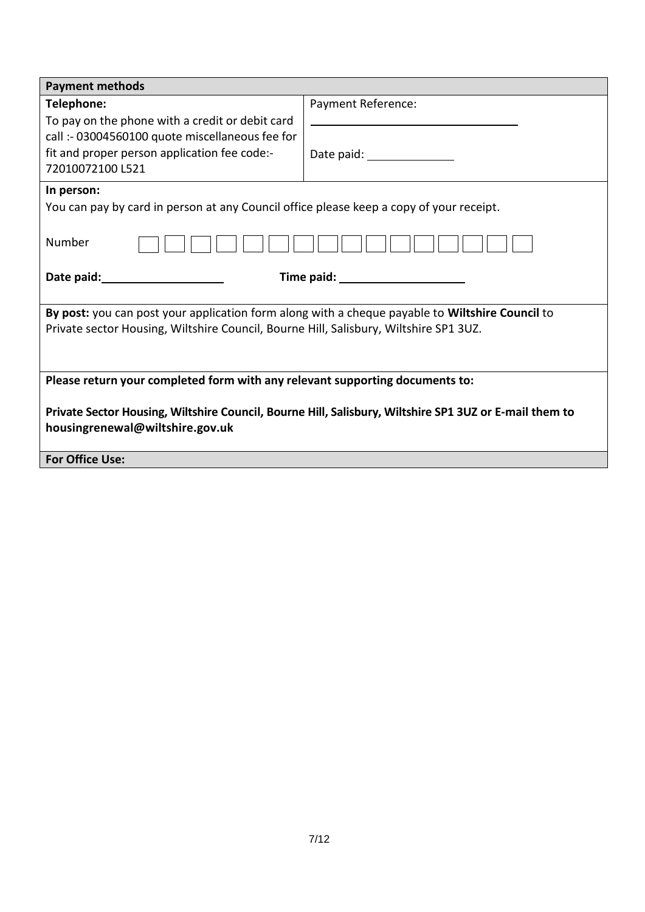| <b>Payment methods</b>                                                                                 |                             |
|--------------------------------------------------------------------------------------------------------|-----------------------------|
| Telephone:                                                                                             | Payment Reference:          |
| To pay on the phone with a credit or debit card                                                        |                             |
| call :- 03004560100 quote miscellaneous fee for                                                        |                             |
| fit and proper person application fee code:-                                                           | Date paid: ________________ |
| 72010072100 L521                                                                                       |                             |
| In person:                                                                                             |                             |
| You can pay by card in person at any Council office please keep a copy of your receipt.                |                             |
|                                                                                                        |                             |
| Number                                                                                                 |                             |
|                                                                                                        |                             |
| Date paid: Date paid:                                                                                  |                             |
|                                                                                                        |                             |
| By post: you can post your application form along with a cheque payable to Wiltshire Council to        |                             |
| Private sector Housing, Wiltshire Council, Bourne Hill, Salisbury, Wiltshire SP1 3UZ.                  |                             |
|                                                                                                        |                             |
|                                                                                                        |                             |
| Please return your completed form with any relevant supporting documents to:                           |                             |
| Private Sector Housing, Wiltshire Council, Bourne Hill, Salisbury, Wiltshire SP1 3UZ or E-mail them to |                             |
| housingrenewal@wiltshire.gov.uk                                                                        |                             |
|                                                                                                        |                             |
| <b>For Office Use:</b>                                                                                 |                             |
|                                                                                                        |                             |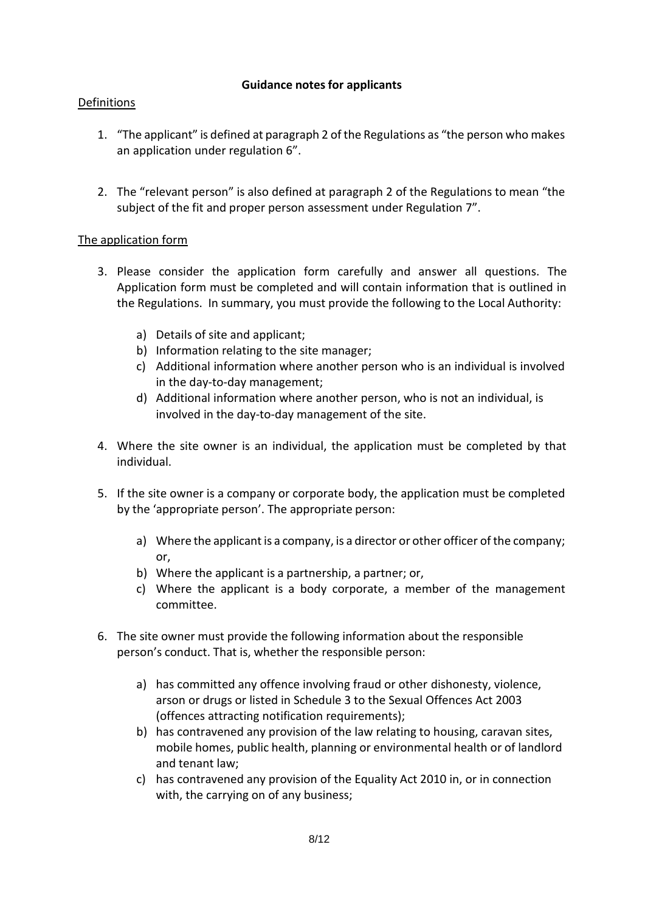# **Guidance notes for applicants**

# Definitions

- 1. "The applicant" is defined at paragraph 2 of the Regulations as "the person who makes an application under regulation 6".
- 2. The "relevant person" is also defined at paragraph 2 of the Regulations to mean "the subject of the fit and proper person assessment under Regulation 7".

# The application form

- 3. Please consider the application form carefully and answer all questions. The Application form must be completed and will contain information that is outlined in the Regulations. In summary, you must provide the following to the Local Authority:
	- a) Details of site and applicant;
	- b) Information relating to the site manager;
	- c) Additional information where another person who is an individual is involved in the day-to-day management;
	- d) Additional information where another person, who is not an individual, is involved in the day-to-day management of the site.
- 4. Where the site owner is an individual, the application must be completed by that individual.
- 5. If the site owner is a company or corporate body, the application must be completed by the 'appropriate person'. The appropriate person:
	- a) Where the applicant is a company, is a director or other officer of the company; or,
	- b) Where the applicant is a partnership, a partner; or,
	- c) Where the applicant is a body corporate, a member of the management committee.
- 6. The site owner must provide the following information about the responsible person's conduct. That is, whether the responsible person:
	- a) has committed any offence involving fraud or other dishonesty, violence, arson or drugs or listed in Schedule 3 to the Sexual Offences Act 2003 (offences attracting notification requirements);
	- b) has contravened any provision of the law relating to housing, caravan sites, mobile homes, public health, planning or environmental health or of landlord and tenant law;
	- c) has contravened any provision of the Equality Act 2010 in, or in connection with, the carrying on of any business;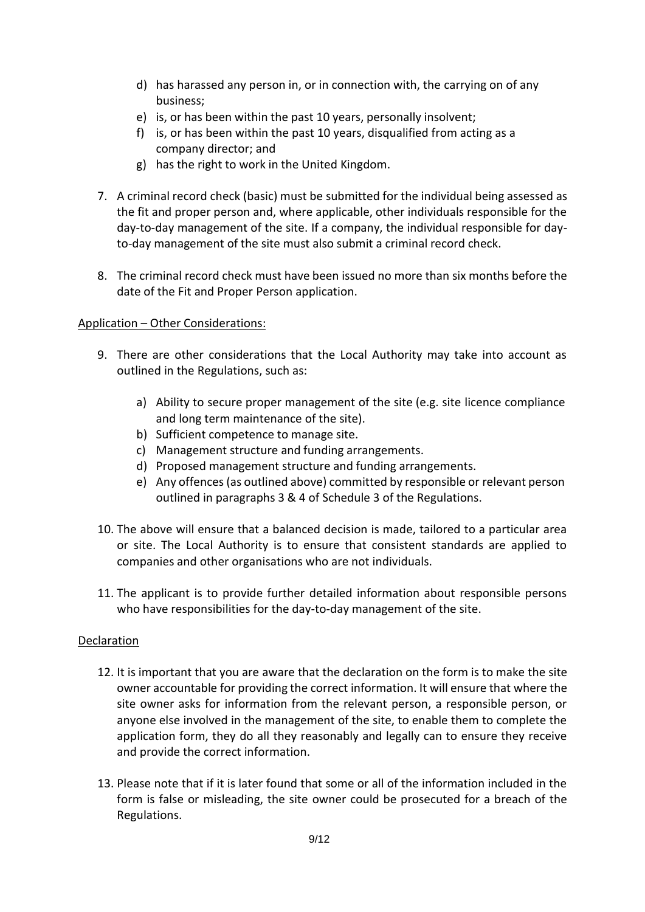- d) has harassed any person in, or in connection with, the carrying on of any business;
- e) is, or has been within the past 10 years, personally insolvent;
- f) is, or has been within the past 10 years, disqualified from acting as a company director; and
- g) has the right to work in the United Kingdom.
- 7. A criminal record check (basic) must be submitted for the individual being assessed as the fit and proper person and, where applicable, other individuals responsible for the day-to-day management of the site. If a company, the individual responsible for dayto-day management of the site must also submit a criminal record check.
- 8. The criminal record check must have been issued no more than six months before the date of the Fit and Proper Person application.

#### Application – Other Considerations:

- 9. There are other considerations that the Local Authority may take into account as outlined in the Regulations, such as:
	- a) Ability to secure proper management of the site (e.g. site licence compliance and long term maintenance of the site).
	- b) Sufficient competence to manage site.
	- c) Management structure and funding arrangements.
	- d) Proposed management structure and funding arrangements.
	- e) Any offences(as outlined above) committed by responsible or relevant person outlined in paragraphs 3 & 4 of Schedule 3 of the Regulations.
- 10. The above will ensure that a balanced decision is made, tailored to a particular area or site. The Local Authority is to ensure that consistent standards are applied to companies and other organisations who are not individuals.
- 11. The applicant is to provide further detailed information about responsible persons who have responsibilities for the day-to-day management of the site.

#### Declaration

- 12. It is important that you are aware that the declaration on the form is to make the site owner accountable for providing the correct information. It will ensure that where the site owner asks for information from the relevant person, a responsible person, or anyone else involved in the management of the site, to enable them to complete the application form, they do all they reasonably and legally can to ensure they receive and provide the correct information.
- 13. Please note that if it is later found that some or all of the information included in the form is false or misleading, the site owner could be prosecuted for a breach of the Regulations.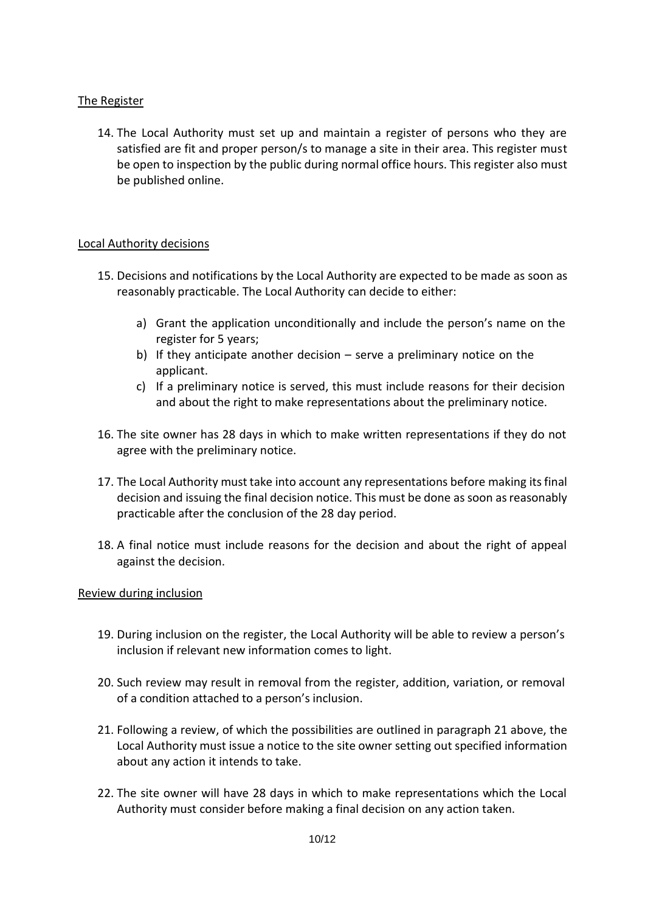# The Register

14. The Local Authority must set up and maintain a register of persons who they are satisfied are fit and proper person/s to manage a site in their area. This register must be open to inspection by the public during normal office hours. This register also must be published online.

#### Local Authority decisions

- 15. Decisions and notifications by the Local Authority are expected to be made as soon as reasonably practicable. The Local Authority can decide to either:
	- a) Grant the application unconditionally and include the person's name on the register for 5 years;
	- b) If they anticipate another decision serve a preliminary notice on the applicant.
	- c) If a preliminary notice is served, this must include reasons for their decision and about the right to make representations about the preliminary notice.
- 16. The site owner has 28 days in which to make written representations if they do not agree with the preliminary notice.
- 17. The Local Authority must take into account any representations before making itsfinal decision and issuing the final decision notice. This must be done as soon asreasonably practicable after the conclusion of the 28 day period.
- 18. A final notice must include reasons for the decision and about the right of appeal against the decision.

#### Review during inclusion

- 19. During inclusion on the register, the Local Authority will be able to review a person's inclusion if relevant new information comes to light.
- 20. Such review may result in removal from the register, addition, variation, or removal of a condition attached to a person's inclusion.
- 21. Following a review, of which the possibilities are outlined in paragraph 21 above, the Local Authority must issue a notice to the site owner setting out specified information about any action it intends to take.
- 22. The site owner will have 28 days in which to make representations which the Local Authority must consider before making a final decision on any action taken.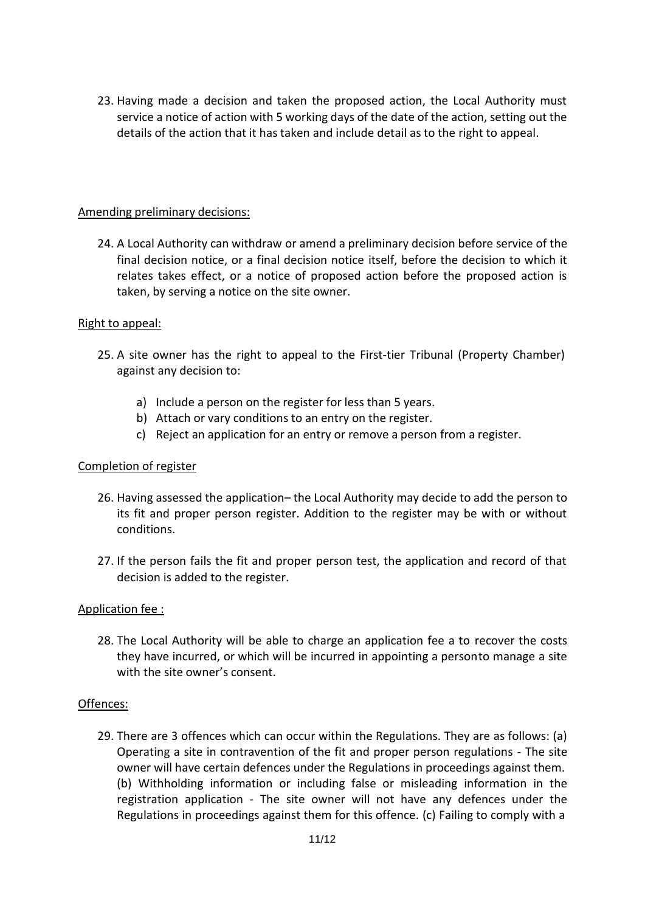23. Having made a decision and taken the proposed action, the Local Authority must service a notice of action with 5 working days of the date of the action, setting out the details of the action that it has taken and include detail as to the right to appeal.

#### Amending preliminary decisions:

24. A Local Authority can withdraw or amend a preliminary decision before service of the final decision notice, or a final decision notice itself, before the decision to which it relates takes effect, or a notice of proposed action before the proposed action is taken, by serving a notice on the site owner.

#### Right to appeal:

- 25. A site owner has the right to appeal to the First-tier Tribunal (Property Chamber) against any decision to:
	- a) Include a person on the register for less than 5 years.
	- b) Attach or vary conditions to an entry on the register.
	- c) Reject an application for an entry or remove a person from a register.

#### Completion of register

- 26. Having assessed the application– the Local Authority may decide to add the person to its fit and proper person register. Addition to the register may be with or without conditions.
- 27. If the person fails the fit and proper person test, the application and record of that decision is added to the register.

#### Application fee :

28. The Local Authority will be able to charge an application fee a to recover the costs they have incurred, or which will be incurred in appointing a personto manage a site with the site owner's consent.

#### Offences:

29. There are 3 offences which can occur within the Regulations. They are as follows: (a) Operating a site in contravention of the fit and proper person regulations - The site owner will have certain defences under the Regulations in proceedings against them. (b) Withholding information or including false or misleading information in the registration application - The site owner will not have any defences under the Regulations in proceedings against them for this offence. (c) Failing to comply with a